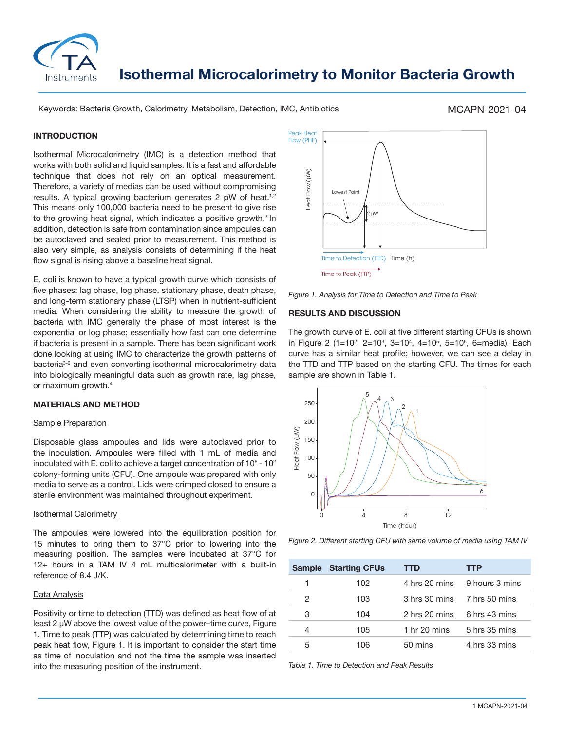

# **Isothermal Microcalorimetry to Monitor Bacteria Growth**

Keywords: Bacteria Growth, Calorimetry, Metabolism, Detection, IMC, Antibiotics

### MCAPN-2021-04

#### **INTRODUCTION**

Isothermal Microcalorimetry (IMC) is a detection method that works with both solid and liquid samples. It is a fast and affordable technique that does not rely on an optical measurement. Therefore, a variety of medias can be used without compromising results. A typical growing bacterium generates 2 pW of heat.<sup>1,2</sup> This means only 100,000 bacteria need to be present to give rise to the growing heat signal, which indicates a positive growth.<sup>3</sup> In addition, detection is safe from contamination since ampoules can be autoclaved and sealed prior to measurement. This method is also very simple, as analysis consists of determining if the heat flow signal is rising above a baseline heat signal.

E. coli is known to have a typical growth curve which consists of five phases: lag phase, log phase, stationary phase, death phase, and long-term stationary phase (LTSP) when in nutrient-sufficient media. When considering the ability to measure the growth of bacteria with IMC generally the phase of most interest is the exponential or log phase; essentially how fast can one determine if bacteria is present in a sample. There has been significant work done looking at using IMC to characterize the growth patterns of bacteria<sup>3-9</sup> and even converting isothermal microcalorimetry data into biologically meaningful data such as growth rate, lag phase, or maximum growth.4

#### **MATERIALS AND METHOD**

#### Sample Preparation

Disposable glass ampoules and lids were autoclaved prior to the inoculation. Ampoules were filled with 1 mL of media and inoculated with E. coli to achieve a target concentration of 10 $^{\circ}$  - 10 $^{\circ}$ colony-forming units (CFU). One ampoule was prepared with only media to serve as a control. Lids were crimped closed to ensure a sterile environment was maintained throughout experiment.

#### Isothermal Calorimetry

The ampoules were lowered into the equilibration position for 15 minutes to bring them to 37°C prior to lowering into the measuring position. The samples were incubated at 37°C for 12+ hours in a TAM IV 4 mL multicalorimeter with a built-in reference of 8.4 J/K.

## Data Analysis

Positivity or time to detection (TTD) was defined as heat flow of at least 2 µW above the lowest value of the power–time curve, Figure 1. Time to peak (TTP) was calculated by determining time to reach peak heat flow, Figure 1. It is important to consider the start time as time of inoculation and not the time the sample was inserted into the measuring position of the instrument.



*Figure 1. Analysis for Time to Detection and Time to Peak*

#### **RESULTS AND DISCUSSION**

The growth curve of E. coli at five different starting CFUs is shown in Figure 2 (1=10<sup>2</sup>, 2=10<sup>3</sup>, 3=10<sup>4</sup>, 4=10<sup>5</sup>, 5=10<sup>6</sup>, 6=media). Each curve has a similar heat profile; however, we can see a delay in the TTD and TTP based on the starting CFU. The times for each sample are shown in Table 1.



*Figure 2. Different starting CFU with same volume of media using TAM IV*

| <b>Sample</b> | <b>Starting CFUs</b> | TTD            | TTP            |
|---------------|----------------------|----------------|----------------|
|               | 102                  | 4 hrs 20 mins  | 9 hours 3 mins |
| 2             | 103                  | 3 hrs 30 mins  | 7 hrs 50 mins  |
| 3             | 104                  | 2 hrs 20 mins  | 6 hrs 43 mins  |
| 4             | 105                  | 1 hr $20$ mins | 5 hrs 35 mins  |
| 5             | 106                  | 50 mins        | 4 hrs 33 mins  |